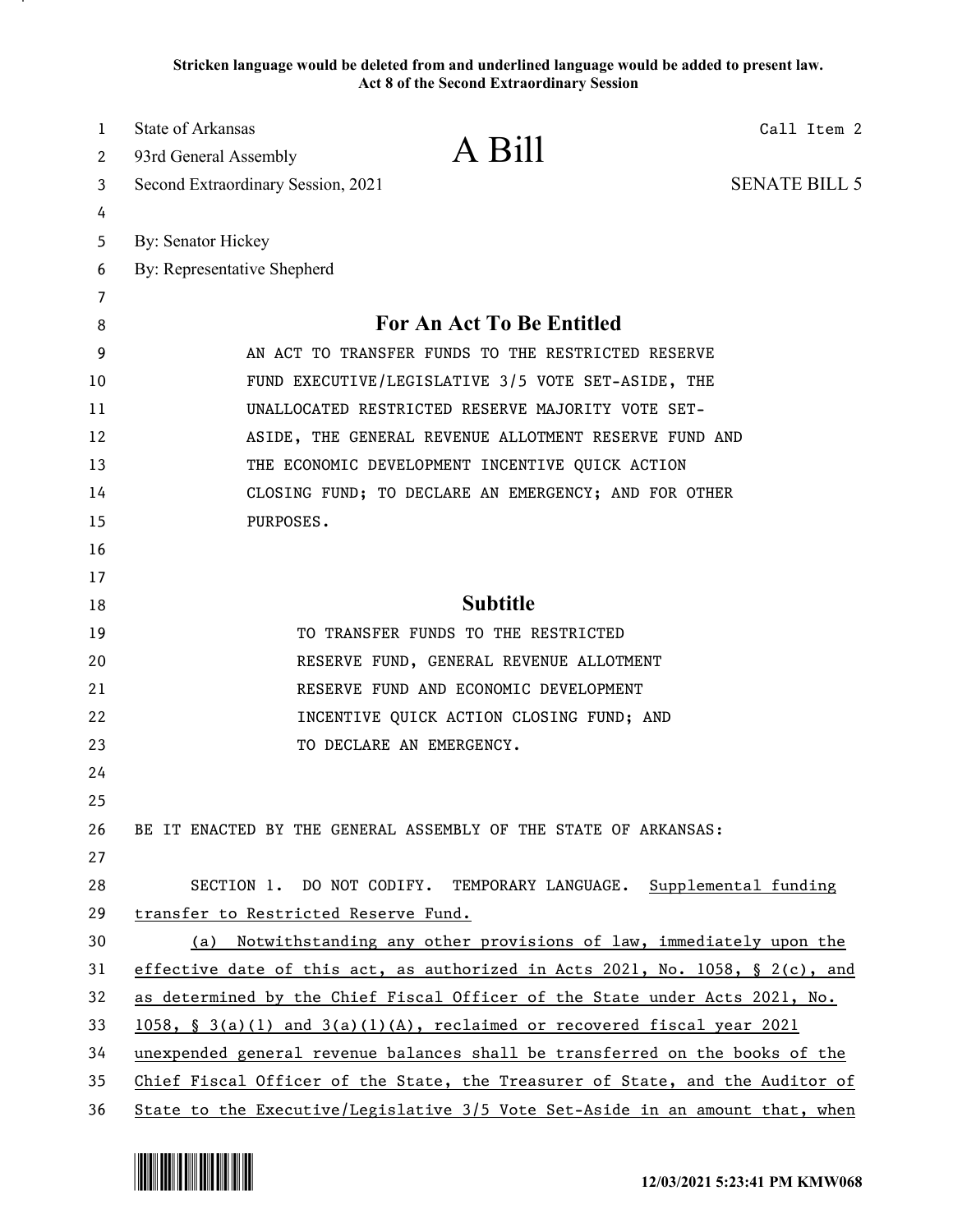**Stricken language would be deleted from and underlined language would be added to present law. Act 8 of the Second Extraordinary Session**

| 1  | State of Arkansas<br>Call Item 2                                              |  |
|----|-------------------------------------------------------------------------------|--|
| 2  | A Bill<br>93rd General Assembly                                               |  |
| 3  | <b>SENATE BILL 5</b><br>Second Extraordinary Session, 2021                    |  |
| 4  |                                                                               |  |
| 5  | By: Senator Hickey                                                            |  |
| 6  | By: Representative Shepherd                                                   |  |
| 7  |                                                                               |  |
| 8  | For An Act To Be Entitled                                                     |  |
| 9  | AN ACT TO TRANSFER FUNDS TO THE RESTRICTED RESERVE                            |  |
| 10 | FUND EXECUTIVE/LEGISLATIVE 3/5 VOTE SET-ASIDE, THE                            |  |
| 11 | UNALLOCATED RESTRICTED RESERVE MAJORITY VOTE SET-                             |  |
| 12 | ASIDE, THE GENERAL REVENUE ALLOTMENT RESERVE FUND AND                         |  |
| 13 | THE ECONOMIC DEVELOPMENT INCENTIVE QUICK ACTION                               |  |
| 14 | CLOSING FUND; TO DECLARE AN EMERGENCY; AND FOR OTHER                          |  |
| 15 | PURPOSES.                                                                     |  |
| 16 |                                                                               |  |
| 17 |                                                                               |  |
| 18 | <b>Subtitle</b>                                                               |  |
| 19 | TO TRANSFER FUNDS TO THE RESTRICTED                                           |  |
| 20 | RESERVE FUND, GENERAL REVENUE ALLOTMENT                                       |  |
| 21 | RESERVE FUND AND ECONOMIC DEVELOPMENT                                         |  |
| 22 | INCENTIVE QUICK ACTION CLOSING FUND; AND                                      |  |
| 23 | TO DECLARE AN EMERGENCY.                                                      |  |
| 24 |                                                                               |  |
| 25 |                                                                               |  |
| 26 | BE IT ENACTED BY THE GENERAL ASSEMBLY OF THE STATE OF ARKANSAS:               |  |
| 27 |                                                                               |  |
| 28 | SECTION 1. DO NOT CODIFY. TEMPORARY LANGUAGE. Supplemental funding            |  |
| 29 | transfer to Restricted Reserve Fund.                                          |  |
| 30 | (a) Notwithstanding any other provisions of law, immediately upon the         |  |
| 31 | effective date of this act, as authorized in Acts 2021, No. 1058, § 2(c), and |  |
| 32 | as determined by the Chief Fiscal Officer of the State under Acts 2021, No.   |  |
| 33 | $1058$ , § 3(a)(1) and 3(a)(1)(A), reclaimed or recovered fiscal year 2021    |  |
| 34 | unexpended general revenue balances shall be transferred on the books of the  |  |
| 35 | Chief Fiscal Officer of the State, the Treasurer of State, and the Auditor of |  |
| 36 | State to the Executive/Legislative 3/5 Vote Set-Aside in an amount that, when |  |

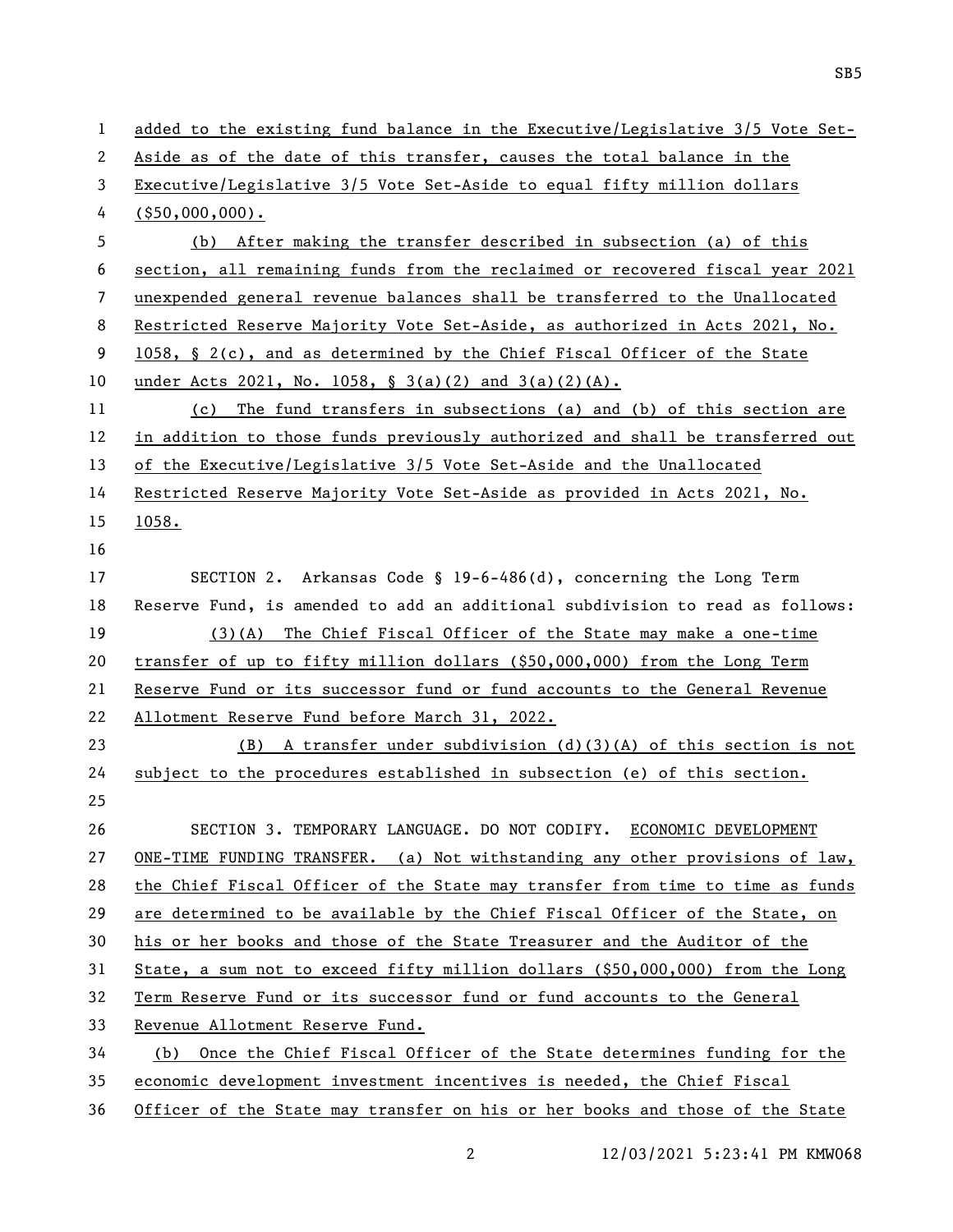| $\mathbf{1}$   | added to the existing fund balance in the Executive/Legislative 3/5 Vote Set-   |
|----------------|---------------------------------------------------------------------------------|
| $\mathbf{2}$   | Aside as of the date of this transfer, causes the total balance in the          |
| 3              | Executive/Legislative 3/5 Vote Set-Aside to equal fifty million dollars         |
| 4              | $($ \$50,000,000).                                                              |
| 5              | (b) After making the transfer described in subsection (a) of this               |
| 6              | section, all remaining funds from the reclaimed or recovered fiscal year 2021   |
| $\overline{7}$ | unexpended general revenue balances shall be transferred to the Unallocated     |
| 8              | Restricted Reserve Majority Vote Set-Aside, as authorized in Acts 2021, No.     |
| 9              | 1058, § 2(c), and as determined by the Chief Fiscal Officer of the State        |
| 10             | under Acts 2021, No. 1058, $\S$ 3(a)(2) and 3(a)(2)(A).                         |
| 11             | (c) The fund transfers in subsections (a) and (b) of this section are           |
| 12             | in addition to those funds previously authorized and shall be transferred out   |
| 13             | of the Executive/Legislative 3/5 Vote Set-Aside and the Unallocated             |
| 14             | Restricted Reserve Majority Vote Set-Aside as provided in Acts 2021, No.        |
| 15             | 1058.                                                                           |
| 16             |                                                                                 |
| 17             | SECTION 2. Arkansas Code § 19-6-486(d), concerning the Long Term                |
| 18             | Reserve Fund, is amended to add an additional subdivision to read as follows:   |
| 19             | $(3)(A)$ The Chief Fiscal Officer of the State may make a one-time              |
| 20             | transfer of up to fifty million dollars $(\$50,000,000)$ from the Long Term     |
| 21             | Reserve Fund or its successor fund or fund accounts to the General Revenue      |
| 22             | Allotment Reserve Fund before March 31, 2022.                                   |
| 23             | $(B)$ A transfer under subdivision $(d)(3)(A)$ of this section is not           |
| 24             | subject to the procedures established in subsection (e) of this section.        |
| 25             |                                                                                 |
| 26             | SECTION 3. TEMPORARY LANGUAGE. DO NOT CODIFY. ECONOMIC DEVELOPMENT              |
| 27             | ONE-TIME FUNDING TRANSFER. (a) Not withstanding any other provisions of $law$ , |
| 28             | the Chief Fiscal Officer of the State may transfer from time to time as funds   |
| 29             | are determined to be available by the Chief Fiscal Officer of the State, on     |
| 30             | his or her books and those of the State Treasurer and the Auditor of the        |
| 31             | State, a sum not to exceed fifty million dollars $(\$50,000,000)$ from the Long |
| 32             | Term Reserve Fund or its successor fund or fund accounts to the General         |
| 33             | Revenue Allotment Reserve Fund.                                                 |
| 34             | (b) Once the Chief Fiscal Officer of the State determines funding for the       |
| 35             | economic development investment incentives is needed, the Chief Fiscal          |
| 36             | Officer of the State may transfer on his or her books and those of the State    |